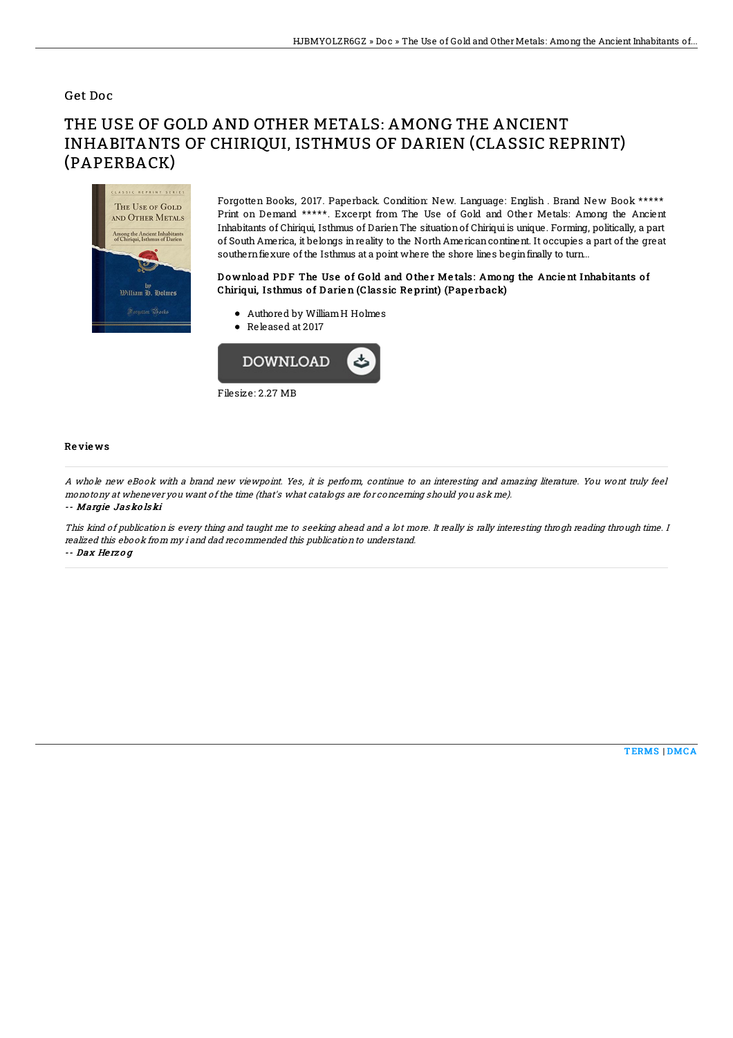#### Get Doc

# THE USE OF GOLD AND OTHER METALS: AMONG THE ANCIENT INHABITANTS OF CHIRIQUI, ISTHMUS OF DARIEN (CLASSIC REPRINT) (PAPERBACK)



Forgotten Books, 2017. Paperback. Condition: New. Language: English . Brand New Book \*\*\*\*\* Print on Demand \*\*\*\*\*. Excerpt from The Use of Gold and Other Metals: Among the Ancient Inhabitants of Chiriqui, Isthmus of DarienThe situationof Chiriqui is unique. Forming, politically, a part of South America, it belongs inreality to the North Americancontinent. It occupies a part of the great southernfiexure of the Isthmus at a point where the shore lines beginfinally to turn...

### Download PDF The Use of Gold and Other Metals: Among the Ancient Inhabitants of Chiriqui, Isthmus of Darien (Classic Reprint) (Paperback)

- Authored by WilliamH Holmes
- Released at 2017



#### Re vie ws

A whole new eBook with <sup>a</sup> brand new viewpoint. Yes, it is perform, continue to an interesting and amazing literature. You wont truly feel monotony at whenever you want of the time (that's what catalogs are for concerning should you ask me).

-- Margie Jas ko ls ki

This kind of publication is every thing and taught me to seeking ahead and a lot more. It really is rally interesting throgh reading through time. I realized this ebook from my i and dad recommended this publication to understand.

-- Dax He rz <sup>o</sup> g